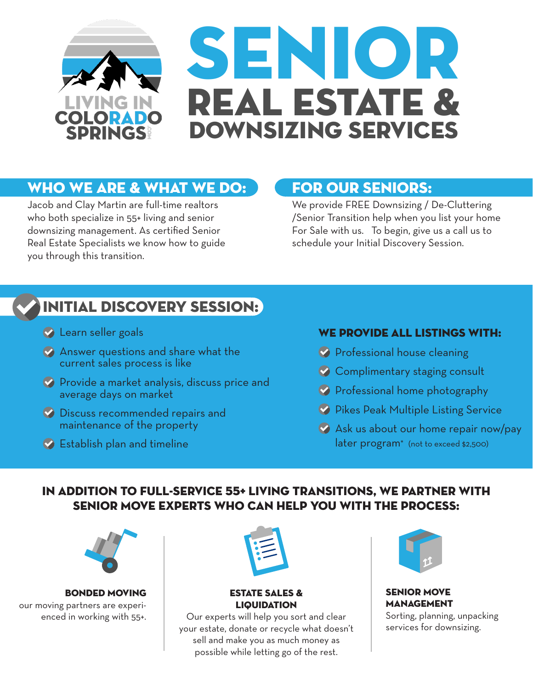

# Who we are & what we do:

Jacob and Clay Martin are full-time realtors who both specialize in 55+ living and senior downsizing management. As certified Senior Real Estate Specialists we know how to guide you through this transition.

## For Our Seniors:

We provide FREE Downsizing / De-Cluttering /Senior Transition help when you list your home For Sale with us. To begin, give us a call us to schedule your Initial Discovery Session.

# Initial Discovery Session:

- **Learn seller goals**
- Answer questions and share what the current sales process is like
- **Provide a market analysis, discuss price and** average days on market
- **Discuss recommended repairs and** maintenance of the property
- **Establish plan and timeline**

#### WE PROVIDE ALL LISTINGS WITH:

- **Professional house cleaning**
- Complimentary staging consult
- **Professional home photography**
- **Pikes Peak Multiple Listing Service**
- Ask us about our home repair now/pay later program\* (not to exceed \$2,500)

### In addition to full-service 55+ Living transitions, we partner with Senior Move Experts who can help you with the process:



BONDED MOVING our moving partners are experienced in working with 55+.



#### ESTATE SALES & **LIQUIDATION**

Our experts will help you sort and clear your estate, donate or recycle what doesn't sell and make you as much money as possible while letting go of the rest.



SENIOR MOVE MANAGEMENT

Sorting, planning, unpacking services for downsizing.